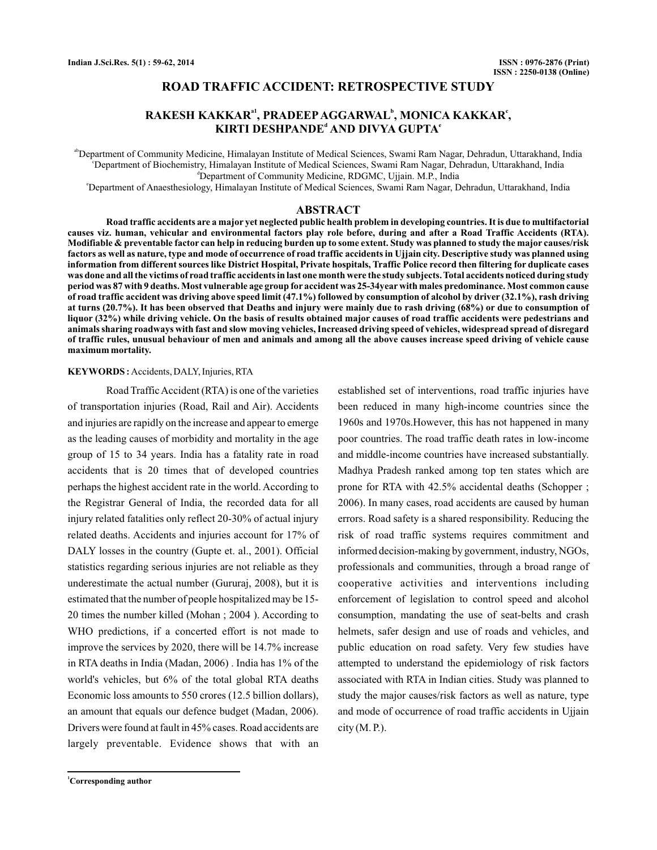## **ROAD TRAFFIC ACCIDENT: RETROSPECTIVE STUDY**

# $\mathbf{RAKESH KAKA R}^{\mathbf{a1}}, \mathbf{PRADEEP AGGARWAL}^{\mathbf{b}}, \mathbf{MONICA KAKKAR}^{\mathbf{c}},$  $\mathbf K$ IRTI DESHPANDE<sup>d</sup> AND DIVYA GUPTA<sup>e</sup>

<sup>ab</sup>Department of Community Medicine, Himalayan Institute of Medical Sciences, Swami Ram Nagar, Dehradun, Uttarakhand, India c Department of Biochemistry, Himalayan Institute of Medical Sciences, Swami Ram Nagar, Dehradun, Uttarakhand, India <sup>d</sup>Department of Community Medicine, RDGMC, Ujjain. M.P., India

e Department of Anaesthesiology, Himalayan Institute of Medical Sciences, Swami Ram Nagar, Dehradun, Uttarakhand, India

## **ABSTRACT**

**Road traffic accidents are a major yet neglected public health problem in developing countries. It is due to multifactorial causes viz. human, vehicular and environmental factors play role before, during and after a Road Traffic Accidents (RTA). Modifiable & preventable factor can help in reducing burden up to some extent. Study was planned to study the major causes/risk factors as well as nature, type and mode of occurrence of road traffic accidents in Ujjain city. Descriptive study was planned using information from different sources like District Hospital, Private hospitals, Traffic Police record then filtering for duplicate cases was done and all the victims of road traffic accidents in last one month were the study subjects. Total accidents noticed during study period was 87 with 9 deaths. Most vulnerable age group for accident was 25-34year with males predominance. Most common cause of road traffic accident was driving above speed limit (47.1%) followed by consumption of alcohol by driver (32.1%), rash driving at turns (20.7%). It has been observed that Deaths and injury were mainly due to rash driving (68%) or due to consumption of liquor (32%) while driving vehicle. On the basis of results obtained major causes of road traffic accidents were pedestrians and animals sharing roadways with fast and slow moving vehicles, Increased driving speed of vehicles, widespread spread of disregard of traffic rules, unusual behaviour of men and animals and among all the above causes increase speed driving of vehicle cause maximum mortality.**

### **KEYWORDS :** Accidents, DALY, Injuries, RTA

Road Traffic Accident (RTA) is one of the varieties of transportation injuries (Road, Rail and Air). Accidents and injuries are rapidly on the increase and appear to emerge as the leading causes of morbidity and mortality in the age group of 15 to 34 years. India has a fatality rate in road accidents that is 20 times that of developed countries perhaps the highest accident rate in the world. According to the Registrar General of India, the recorded data for all injury related fatalities only reflect 20-30% of actual injury related deaths. Accidents and injuries account for 17% of DALY losses in the country (Gupte et. al., 2001). Official statistics regarding serious injuries are not reliable as they underestimate the actual number (Gururaj, 2008), but it is estimated that the number of people hospitalized may be 15- 20 times the number killed (Mohan ; 2004 ). According to WHO predictions, if a concerted effort is not made to improve the services by 2020, there will be 14.7% increase in RTA deaths in India (Madan, 2006) . India has 1% of the world's vehicles, but 6% of the total global RTA deaths Economic loss amounts to 550 crores (12.5 billion dollars), an amount that equals our defence budget (Madan, 2006). Drivers were found at fault in 45% cases. Road accidents are largely preventable. Evidence shows that with an

established set of interventions, road traffic injuries have been reduced in many high-income countries since the 1960s and 1970s.However, this has not happened in many poor countries. The road traffic death rates in low-income and middle-income countries have increased substantially. Madhya Pradesh ranked among top ten states which are prone for RTA with 42.5% accidental deaths (Schopper ; 2006). In many cases, road accidents are caused by human errors. Road safety is a shared responsibility. Reducing the risk of road traffic systems requires commitment and informed decision-making by government, industry, NGOs, professionals and communities, through a broad range of cooperative activities and interventions including enforcement of legislation to control speed and alcohol consumption, mandating the use of seat-belts and crash helmets, safer design and use of roads and vehicles, and public education on road safety. Very few studies have attempted to understand the epidemiology of risk factors associated with RTA in Indian cities. Study was planned to study the major causes/risk factors as well as nature, type and mode of occurrence of road traffic accidents in Ujjain  $city (M.P.).$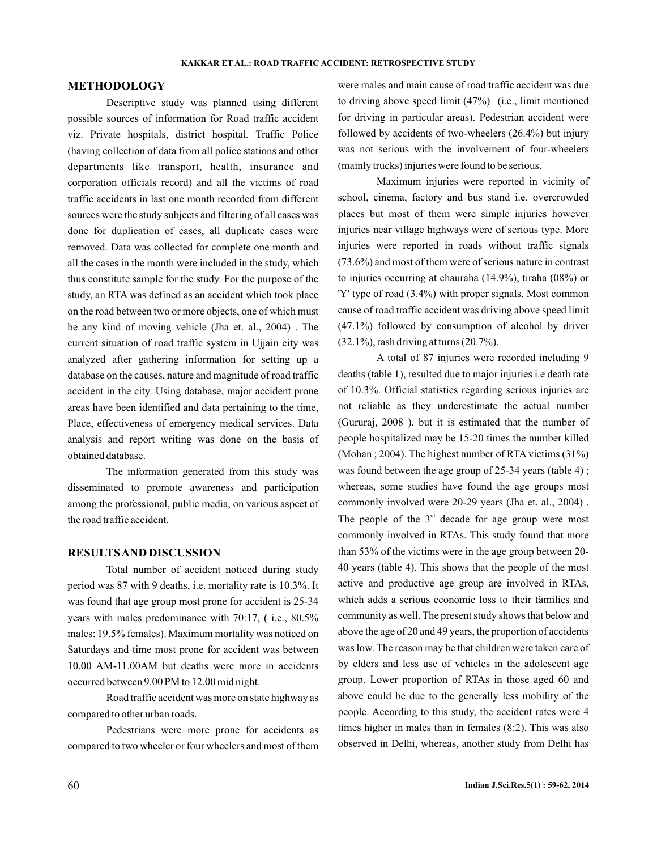### **METHODOLOGY**

Descriptive study was planned using different possible sources of information for Road traffic accident viz. Private hospitals, district hospital, Traffic Police (having collection of data from all police stations and other departments like transport, health, insurance and corporation officials record) and all the victims of road traffic accidents in last one month recorded from different sources were the study subjects and filtering of all cases was done for duplication of cases, all duplicate cases were removed. Data was collected for complete one month and all the cases in the month were included in the study, which thus constitute sample for the study. For the purpose of the study, an RTA was defined as an accident which took place on the road between two or more objects, one of which must be any kind of moving vehicle (Jha et. al., 2004) . The current situation of road traffic system in Ujjain city was analyzed after gathering information for setting up a database on the causes, nature and magnitude of road traffic accident in the city. Using database, major accident prone areas have been identified and data pertaining to the time, Place, effectiveness of emergency medical services. Data analysis and report writing was done on the basis of obtained database.

The information generated from this study was disseminated to promote awareness and participation among the professional, public media, on various aspect of the road traffic accident.

## **RESULTSAND DISCUSSION**

Total number of accident noticed during study period was 87 with 9 deaths, i.e. mortality rate is 10.3%. It was found that age group most prone for accident is 25-34 years with males predominance with 70:17, ( i.e., 80.5% males: 19.5% females). Maximum mortality was noticed on Saturdays and time most prone for accident was between 10.00 AM-11.00AM but deaths were more in accidents occurred between 9.00 PM to 12.00 mid night.

Road traffic accident was more on state highway as compared to other urban roads.

Pedestrians were more prone for accidents as compared to two wheeler or four wheelers and most of them were males and main cause of road traffic accident was due to driving above speed limit (47%) (i.e., limit mentioned for driving in particular areas). Pedestrian accident were followed by accidents of two-wheelers (26.4%) but injury was not serious with the involvement of four-wheelers (mainly trucks) injuries were found to be serious.

Maximum injuries were reported in vicinity of school, cinema, factory and bus stand i.e. overcrowded places but most of them were simple injuries however injuries near village highways were of serious type. More injuries were reported in roads without traffic signals (73.6%) and most of them were of serious nature in contrast to injuries occurring at chauraha (14.9%), tiraha (08%) or 'Y' type of road (3.4%) with proper signals. Most common cause of road traffic accident was driving above speed limit (47.1%) followed by consumption of alcohol by driver (32.1%), rash driving at turns (20.7%).

A total of 87 injuries were recorded including 9 deaths (table 1), resulted due to major injuries i.e death rate of 10.3%. Official statistics regarding serious injuries are not reliable as they underestimate the actual number (Gururaj, 2008 ), but it is estimated that the number of people hospitalized may be 15-20 times the number killed (Mohan ; 2004). The highest number of RTA victims (31%) was found between the age group of 25-34 years (table 4) ; whereas, some studies have found the age groups most commonly involved were 20-29 years (Jha et. al., 2004) . The people of the  $3<sup>rd</sup>$  decade for age group were most commonly involved in RTAs. This study found that more than 53% of the victims were in the age group between 20- 40 years (table 4). This shows that the people of the most active and productive age group are involved in RTAs, which adds a serious economic loss to their families and community as well. The present study shows that below and above the age of 20 and 49 years, the proportion of accidents was low. The reason may be that children were taken care of by elders and less use of vehicles in the adolescent age group. Lower proportion of RTAs in those aged 60 and above could be due to the generally less mobility of the people. According to this study, the accident rates were 4 times higher in males than in females (8:2). This was also observed in Delhi, whereas, another study from Delhi has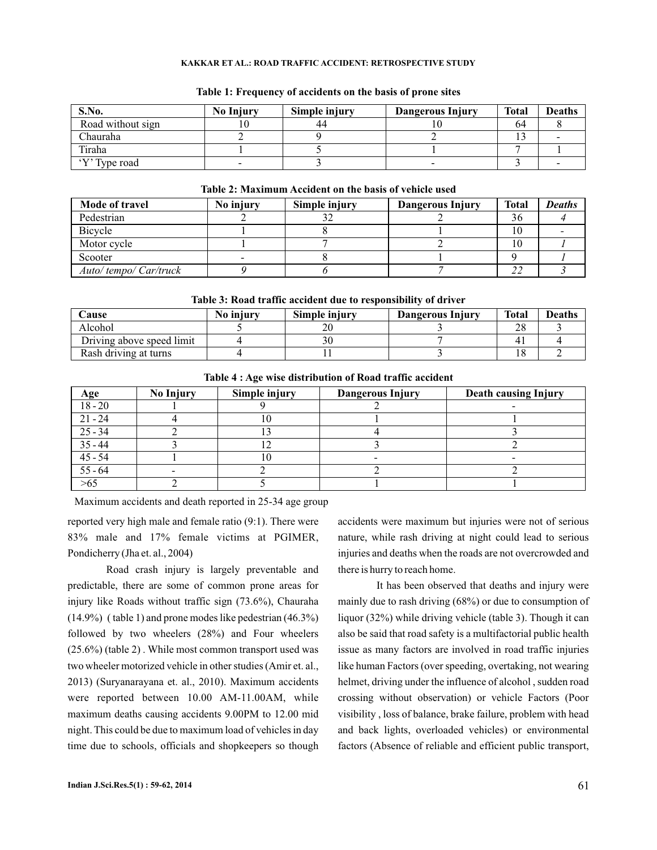#### **KAKKAR ET AL.: ROAD TRAFFIC ACCIDENT: RETROSPECTIVE STUDY**

| S.No.             | <b>No Injury</b>         | Simple injury | Dangerous Injury         | <b>Total</b> | <b>Deaths</b> |
|-------------------|--------------------------|---------------|--------------------------|--------------|---------------|
| Road without sign |                          | 44            |                          | 64           |               |
| Chauraha          |                          |               |                          |              |               |
| Tiraha            |                          |               |                          |              |               |
| 'Y' Type road     | $\overline{\phantom{0}}$ |               | $\overline{\phantom{0}}$ |              |               |

### **Table 1: Frequency of accidents on the basis of prone sites**

| Table 2. Maximum Accident on the basis of venicle used |           |               |                         |       |               |  |
|--------------------------------------------------------|-----------|---------------|-------------------------|-------|---------------|--|
| Mode of travel                                         | No injury | Simple injury | <b>Dangerous Injury</b> | Total | <b>Deaths</b> |  |
| Pedestrian                                             |           |               |                         | 36    |               |  |
| Bicycle                                                |           |               |                         |       |               |  |
| Motor cycle                                            |           |               |                         | ТU    |               |  |
| Scooter                                                |           |               |                         |       |               |  |
| Auto/tempo/Car/truck                                   |           |               |                         |       |               |  |

# **Table 2: Maximum Accident on the basis of vehicle used**

**Table 3: Road traffic accident due to responsibility of driver**

| Cause                     | No injury | Simple injury | Dangerous Injury | <b>Total</b> | <b>Deaths</b> |
|---------------------------|-----------|---------------|------------------|--------------|---------------|
| Alcohol                   |           |               |                  |              |               |
| Driving above speed limit |           |               |                  |              |               |
| Rash driving at turns     |           |               |                  |              |               |

| Age                                                    | <b>No Injury</b> | Simple injury | <b>Dangerous Injury</b> | <b>Death causing Injury</b> |
|--------------------------------------------------------|------------------|---------------|-------------------------|-----------------------------|
| $18 - 20$                                              |                  |               |                         |                             |
| $21 - 24$                                              |                  | 10            |                         |                             |
| $25 - 34$                                              |                  |               |                         |                             |
|                                                        |                  |               |                         |                             |
|                                                        |                  | l O           |                         |                             |
| $\frac{35 - 44}{45 - 54}$<br>$\frac{45 - 54}{55 - 64}$ |                  |               |                         |                             |
| >65                                                    |                  |               |                         |                             |

## **Table 4 : Age wise distribution of Road traffic accident**

Maximum accidents and death reported in 25-34 age group

reported very high male and female ratio (9:1). There were 83% male and 17% female victims at PGIMER, Pondicherry (Jha et. al., 2004)

Road crash injury is largely preventable and predictable, there are some of common prone areas for injury like Roads without traffic sign (73.6%), Chauraha (14.9%) ( table 1) and prone modes like pedestrian (46.3%) followed by two wheelers (28%) and Four wheelers (25.6%) (table 2) . While most common transport used was two wheeler motorized vehicle in other studies (Amir et. al., 2013) (Suryanarayana et. al., 2010). Maximum accidents were reported between 10.00 AM-11.00AM, while maximum deaths causing accidents 9.00PM to 12.00 mid night. This could be due to maximum load of vehicles in day time due to schools, officials and shopkeepers so though

accidents were maximum but injuries were not of serious nature, while rash driving at night could lead to serious injuries and deaths when the roads are not overcrowded and there is hurry to reach home.

It has been observed that deaths and injury were mainly due to rash driving (68%) or due to consumption of liquor (32%) while driving vehicle (table 3). Though it can also be said that road safety is a multifactorial public health issue as many factors are involved in road traffic injuries like human Factors (over speeding, overtaking, not wearing helmet, driving under the influence of alcohol , sudden road crossing without observation) or vehicle Factors (Poor visibility , loss of balance, brake failure, problem with head and back lights, overloaded vehicles) or environmental factors (Absence of reliable and efficient public transport,